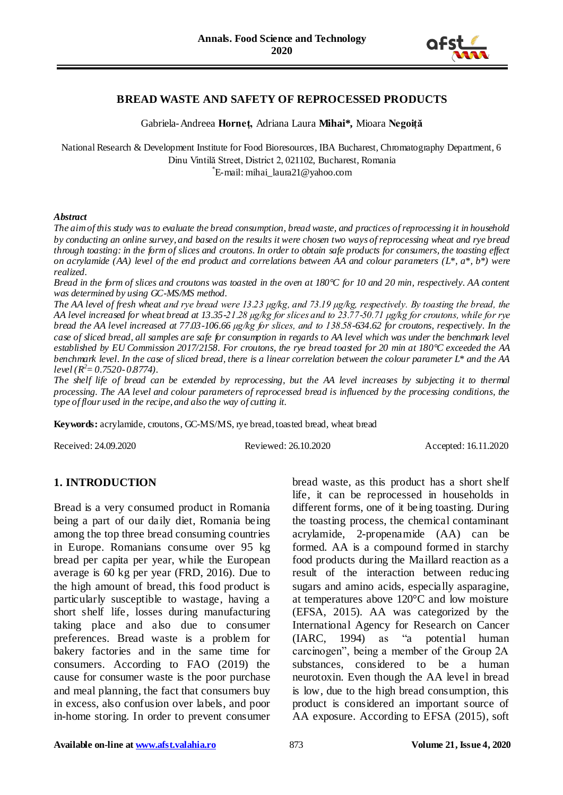

#### **BREAD WASTE AND SAFETY OF REPROCESSED PRODUCTS**

Gabriela-Andreea **Horneț,** Adriana Laura **Mihai\*,** Mioara **Negoiță** 

National Research & Development Institute for Food Bioresources, IBA Bucharest, Chromatography Department, 6 Dinu Vintilă Street, District 2, 021102, Bucharest, Romania \* E-mail: [mihai\\_](mailto:mihai)laura21@yahoo.com

#### *Abstract*

*The aim of this study was to evaluate the bread consumption, bread waste, and practices of reprocessing it in household by conducting an online survey, and based on the results it were chosen two ways of reprocessing wheat and rye bread through toasting: in the form of slices and croutons. In order to obtain safe products for consumers, the toasting effect on acrylamide (AA) level of the end product and correlations between AA and colour parameters (L\*, a\*, b\*) were realized.*

*Bread in the form of slices and croutons was toasted in the oven at 180°C for 10 and 20 min, respectively. AA content was determined by using GC-MS/MS method.* 

*The AA level of fresh wheat and rye bread were 13.23 μg/kg, and 73.19 μg/kg, respectively. By toasting the bread, the AA level increased for wheat bread at 13.35-21.28 μg/kg for slices and to 23.77-50.71 μg/kg for croutons, while for rye bread the AA level increased at 77.03-106.66 μg/kg for slices, and to 138.58-634.62 for croutons, respectively. In the case of sliced bread, all samples are safe for consumption in regards to AA level which was under the benchmark level established by EU Commission 2017/2158. For croutons, the rye bread toasted for 20 min at 180°C exceeded the AA benchmark level. In the case of sliced bread, there is a linear correlation between the colour parameter L\* and the AA level (R <sup>2</sup>= 0.7520- 0.8774).*

*The shelf life of bread can be extended by reprocessing, but the AA level increases by subjecting it to thermal processing. The AA level and colour parameters of reprocessed bread is influenced by the processing conditions, the type of flour used in the recipe, and also the way of cutting it.*

Keywords: acrylamide, croutons, GC-MS/MS, rye bread, toasted bread, wheat bread

Received: 24.09.2020 Reviewed: 26.10.2020 Accepted: 16.11.2020

# **1. INTRODUCTION**

Bread is a very consumed product in Romania being a part of our daily diet, Romania being among the top three bread consuming countries in Europe. Romanians consume over 95 kg bread per capita per year, while the European average is 60 kg per year (FRD, 2016). Due to the high amount of bread, this food product is particularly susceptible to wastage, having a short shelf life, losses during manufacturing taking place and also due to consumer preferences. Bread waste is a problem for bakery factories and in the same time for consumers. According to FAO (2019) the cause for consumer waste is the poor purchase and meal planning, the fact that consumers buy in excess, also confusion over labels, and poor in-home storing. In order to prevent consumer

bread waste, as this product has a short shelf life, it can be reprocessed in households in different forms, one of it being toasting. During the toasting process, the chemical contaminant acrylamide, 2-propenamide (AA) can be formed. AA is a compound formed in starchy food products during the Maillard reaction as a result of the interaction between reducing sugars and amino acids, especially asparagine, at temperatures above 120°C and low moisture (EFSA, 2015). AA was categorized by the International Agency for Research on Cancer (IARC, 1994) as "a potential human carcinogen", being a member of the Group 2A substances, considered to be a human neurotoxin. Even though the AA level in bread is low, due to the high bread consumption, this product is considered an important source of AA exposure. According to EFSA (2015), soft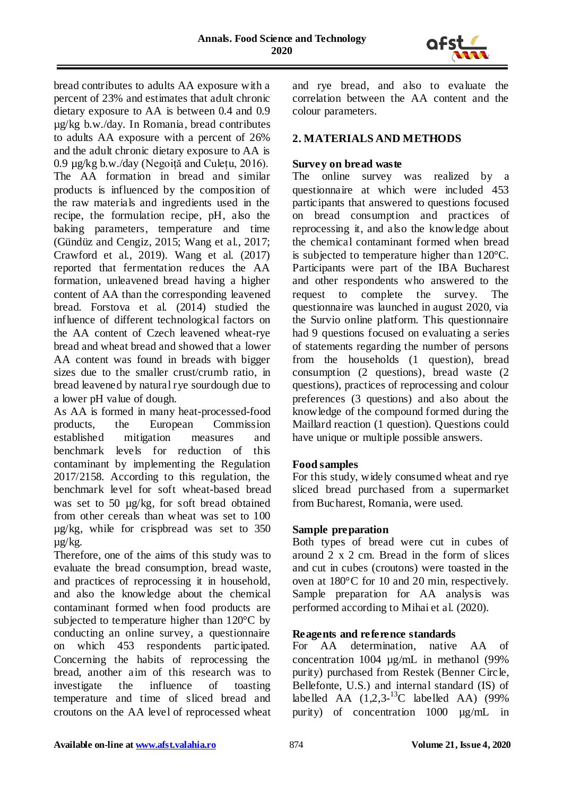

bread contributes to adults AA exposure with a percent of 23% and estimates that adult chronic dietary exposure to AA is between 0.4 and 0.9 µg/kg b.w./day. In Romania, bread contributes to adults AA exposure with a percent of 26% and the adult chronic dietary exposure to AA is 0.9 µg/kg b.w./day (Negoiță and Culețu, 2016). The AA formation in bread and similar products is influenced by the composition of the raw materials and ingredients used in the recipe, the formulation recipe, pH, also the baking parameters, temperature and time (Gündüz and Cengiz, 2015; Wang et al., 2017; Crawford et al., 2019). Wang et al. (2017) reported that fermentation reduces the AA formation, unleavened bread having a higher content of AA than the corresponding leavened bread. Forstova et al. (2014) studied the influence of different technological factors on the AA content of Czech leavened wheat-rye bread and wheat bread and showed that a lower AA content was found in breads with bigger sizes due to the smaller crust/crumb ratio, in bread leavened by natural rye sourdough due to a lower pH value of dough.

As AA is formed in many heat-processed-food products, the European Commission established mitigation measures and benchmark levels for reduction of this contaminant by implementing the Regulation 2017/2158. According to this regulation, the benchmark level for soft wheat-based bread was set to 50 ug/kg, for soft bread obtained from other cereals than wheat was set to 100 µg/kg, while for crispbread was set to 350 µg/kg.

Therefore, one of the aims of this study was to evaluate the bread consumption, bread waste, and practices of reprocessing it in household, and also the knowledge about the chemical contaminant formed when food products are subjected to temperature higher than 120°C by conducting an online survey, a questionnaire on which 453 respondents participated. Concerning the habits of reprocessing the bread, another aim of this research was to investigate the influence of toasting temperature and time of sliced bread and croutons on the AA level of reprocessed wheat

and rye bread, and also to evaluate the correlation between the AA content and the colour parameters.

#### **2. MATERIALS AND METHODS**

#### **Survey on bread waste**

The online survey was realized by a questionnaire at which were included 453 participants that answered to questions focused on bread consumption and practices of reprocessing it, and also the knowledge about the chemical contaminant formed when bread is subjected to temperature higher than 120°C. Participants were part of the IBA Bucharest and other respondents who answered to the request to complete the survey. The questionnaire was launched in august 2020, via the Survio online platform. This questionnaire had 9 questions focused on evaluating a series of statements regarding the number of persons from the households (1 question), bread consumption (2 questions), bread waste (2 questions), practices of reprocessing and colour preferences (3 questions) and also about the knowledge of the compound formed during the Maillard reaction (1 question). Questions could have unique or multiple possible answers.

# **Food samples**

For this study, widely consumed wheat and rye sliced bread purchased from a supermarket from Bucharest, Romania, were used.

#### **Sample preparation**

Both types of bread were cut in cubes of around 2 x 2 cm. Bread in the form of slices and cut in cubes (croutons) were toasted in the oven at 180°C for 10 and 20 min, respectively. Sample preparation for AA analysis was performed according to Mihai et al. (2020).

#### **Reagents and reference standards**

For AA determination, native AA of concentration 1004 µg/mL in methanol (99% purity) purchased from Restek (Benner Circle, Bellefonte, U.S.) and internal standard (IS) of labelled AA  $(1,2,3^{-13}C$  labelled AA)  $(99\%$ purity) of concentration 1000 µg/mL in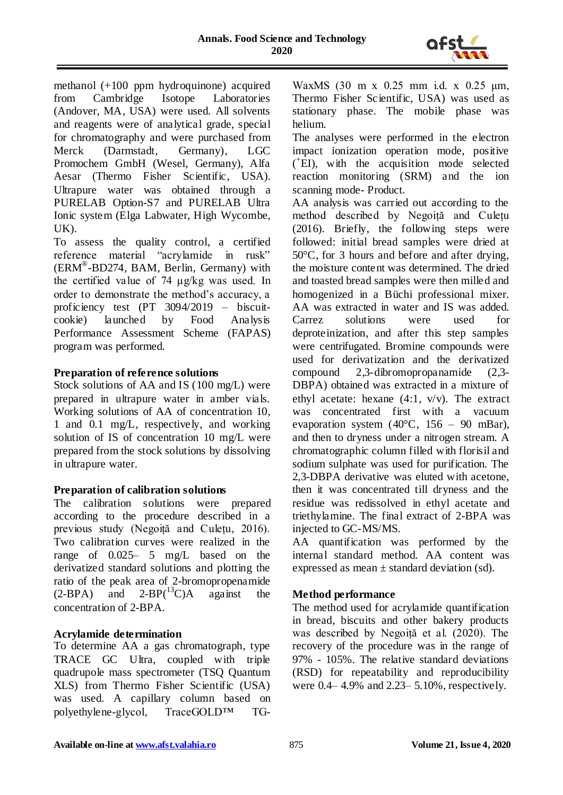

methanol (+100 ppm hydroquinone) acquired from Cambridge Isotope Laboratories (Andover, MA, USA) were used. All solvents and reagents were of analytical grade, special for chromatography and were purchased from Merck (Darmstadt, Germany), LGC Promochem GmbH (Wesel, Germany), Alfa Aesar (Thermo Fisher Scientific, USA). Ultrapure water was obtained through a PURELAB Option-S7 and PURELAB Ultra Ionic system (Elga Labwater, High Wycombe, UK).

To assess the quality control, a certified reference material "acrylamide in rusk" (ERM® -BD274, BAM, Berlin, Germany) with the certified value of 74 μg/kg was used. In order to demonstrate the method's accuracy, a proficiency test (PT 3094/2019 – biscuitcookie) launched by Food Analysis Performance Assessment Scheme (FAPAS) program was performed.

#### **Preparation of reference solutions**

Stock solutions of AA and IS (100 mg/L) were prepared in ultrapure water in amber vials. Working solutions of AA of concentration 10, 1 and 0.1 mg/L, respectively, and working solution of IS of concentration 10 mg/L were prepared from the stock solutions by dissolving in ultrapure water.

# **Preparation of calibration solutions**

The calibration solutions were prepared according to the procedure described in a previous study (Negoiță and Culețu, 2016). Two calibration curves were realized in the range of 0.025– 5 mg/L based on the derivatized standard solutions and plotting the ratio of the peak area of 2-bromopropenamide  $(2-BPA)$  and  $2-BP(^{13}C)A$  against the concentration of 2-BPA.

# **Acrylamide determination**

To determine AA a gas chromatograph, type TRACE GC Ultra, coupled with triple quadrupole mass spectrometer (TSQ Quantum XLS) from Thermo Fisher Scientific (USA) was used. A capillary column based on polyethylene-glycol, TraceGOLD™ TG-

WaxMS (30 m x 0.25 mm i.d. x 0.25 µm, Thermo Fisher Scientific, USA) was used as stationary phase. The mobile phase was helium.

The analyses were performed in the electron impact ionization operation mode, positive ( + EI), with the acquisition mode selected reaction monitoring (SRM) and the ion scanning mode- Product.

AA analysis was carried out according to the method described by Negoiță and Culețu (2016). Briefly, the following steps were followed: initial bread samples were dried at 50°C, for 3 hours and before and after drying, the moisture content was determined. The dried and toasted bread samples were then milled and homogenized in a Büchi professional mixer. AA was extracted in water and IS was added. Carrez solutions were used for deproteinization, and after this step samples were centrifugated. Bromine compounds were used for derivatization and the derivatized compound 2,3-dibromopropanamide (2,3- DBPA) obtained was extracted in a mixture of ethyl acetate: hexane (4:1, v/v). The extract was concentrated first with a vacuum evaporation system  $(40^{\circ}C, 156 - 90$  mBar), and then to dryness under a nitrogen stream. A chromatographic column filled with florisil and sodium sulphate was used for purification. The 2,3-DBPA derivative was eluted with acetone, then it was concentrated till dryness and the residue was redissolved in ethyl acetate and triethylamine. The final extract of 2-BPA was injected to GC-MS/MS.

AA quantification was performed by the internal standard method. AA content was expressed as mean  $\pm$  standard deviation (sd).

# **Method performance**

The method used for acrylamide quantification in bread, biscuits and other bakery products was described by Negoiță et al. (2020). The recovery of the procedure was in the range of 97% - 105%. The relative standard deviations (RSD) for repeatability and reproducibility were 0.4– 4.9% and 2.23– 5.10%, respectively.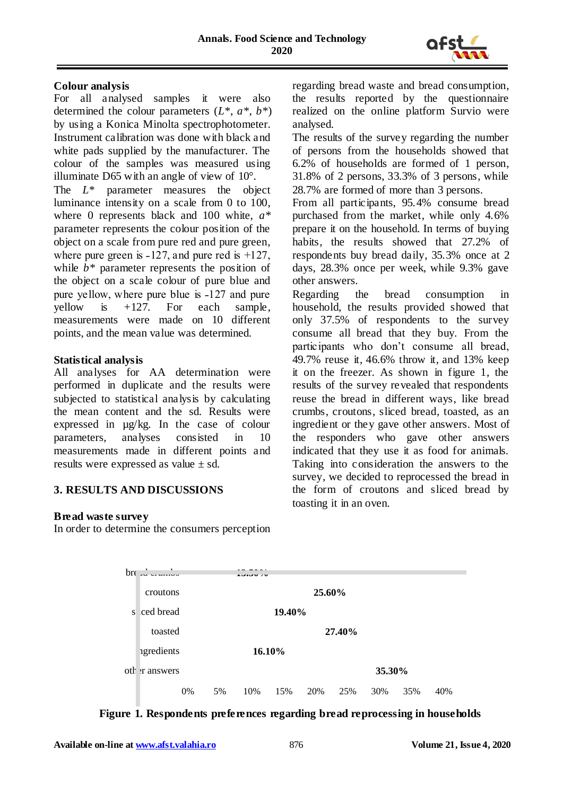

#### **Colour analysis**

For all analysed samples it were also determined the colour parameters (*L\**, *a\**, *b\**) by using a Konica Minolta spectrophotometer. Instrument calibration was done with black and white pads supplied by the manufacturer. The colour of the samples was measured using illuminate D65 with an angle of view of 10°.

The *L\** parameter measures the object luminance intensity on a scale from 0 to 100, where 0 represents black and 100 white, *a\** parameter represents the colour position of the object on a scale from pure red and pure green, where pure green is  $-127$ , and pure red is  $+127$ , while  $b^*$  parameter represents the position of the object on a scale colour of pure blue and pure yellow, where pure blue is  $-127$  and pure yellow is  $+127$ . For each sample, measurements were made on 10 different points, and the mean value was determined.

#### **Statistical analysis**

All analyses for AA determination were performed in duplicate and the results were subjected to statistical analysis by calculating the mean content and the sd. Results were expressed in µg/kg. In the case of colour parameters, analyses consisted in 10 measurements made in different points and results were expressed as value ± sd.

# **3. RESULTS AND DISCUSSIONS**

#### **Bread waste survey**

In order to determine the consumers perception

regarding bread waste and bread consumption, the results reported by the questionnaire realized on the online platform Survio were analysed.

The results of the survey regarding the number of persons from the households showed that 6.2% of households are formed of 1 person, 31.8% of 2 persons, 33.3% of 3 persons, while 28.7% are formed of more than 3 persons.

From all participants, 95.4% consume bread purchased from the market, while only 4.6% prepare it on the household. In terms of buying habits, the results showed that 27.2% of respondents buy bread daily, 35.3% once at 2 days, 28.3% once per week, while 9.3% gave other answers.

Regarding the bread consumption in household, the results provided showed that only 37.5% of respondents to the survey consume all bread that they buy. From the participants who don't consume all bread, 49.7% reuse it, 46.6% throw it, and 13% keep it on the freezer. As shown in figure 1, the results of the survey revealed that respondents reuse the bread in different ways, like bread crumbs, croutons, sliced bread, toasted, as an ingredient or they gave other answers. Most of the responders who gave other answers indicated that they use it as food for animals. Taking into consideration the answers to the survey, we decided to reprocessed the bread in the form of croutons and sliced bread by toasting it in an oven.



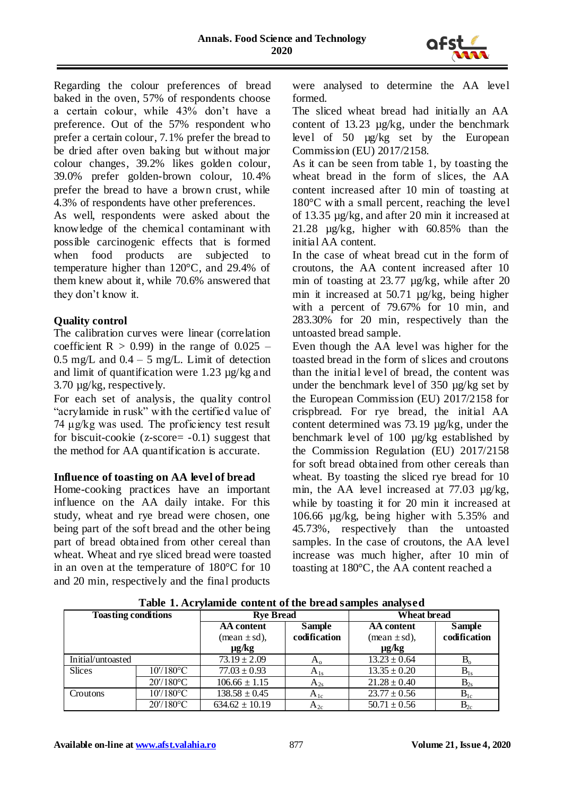

Regarding the colour preferences of bread baked in the oven, 57% of respondents choose a certain colour, while 43% don't have a preference. Out of the 57% respondent who prefer a certain colour, 7.1% prefer the bread to be dried after oven baking but without major colour changes, 39.2% likes golden colour, 39.0% prefer golden-brown colour, 10.4% prefer the bread to have a brown crust, while 4.3% of respondents have other preferences.

As well, respondents were asked about the knowledge of the chemical contaminant with possible carcinogenic effects that is formed when food products are subjected to temperature higher than 120°C, and 29.4% of them knew about it, while 70.6% answered that they don't know it.

#### **Quality control**

The calibration curves were linear (correlation coefficient  $R > 0.99$  in the range of  $0.025$  – 0.5 mg/L and  $0.4 - 5$  mg/L. Limit of detection and limit of quantification were 1.23 µg/kg and 3.70 µg/kg, respectively.

For each set of analysis, the quality control "acrylamide in rusk" with the certified value of 74 μg/kg was used. The proficiency test result for biscuit-cookie ( $z$ -score=  $-0.1$ ) suggest that the method for AA quantification is accurate.

#### **Influence of toasting on AA level of bread**

Home-cooking practices have an important influence on the AA daily intake. For this study, wheat and rye bread were chosen, one being part of the soft bread and the other being part of bread obtained from other cereal than wheat. Wheat and rye sliced bread were toasted in an oven at the temperature of 180°C for 10 and 20 min, respectively and the final products

were analysed to determine the AA level formed.

The sliced wheat bread had initially an AA content of 13.23 µg/kg, under the benchmark level of 50 µg/kg set by the European Commission (EU) 2017/2158.

As it can be seen from table 1, by toasting the wheat bread in the form of slices, the AA content increased after 10 min of toasting at 180°C with a small percent, reaching the level of 13.35 µg/kg, and after 20 min it increased at 21.28 µg/kg, higher with 60.85% than the initial AA content.

In the case of wheat bread cut in the form of croutons, the AA content increased after 10 min of toasting at 23.77 µg/kg, while after 20 min it increased at 50.71 µg/kg, being higher with a percent of 79.67% for 10 min, and 283.30% for 20 min, respectively than the untoasted bread sample.

Even though the AA level was higher for the toasted bread in the form of slices and croutons than the initial level of bread, the content was under the benchmark level of 350 µg/kg set by the European Commission (EU) 2017/2158 for crispbread. For rye bread, the initial AA content determined was 73.19 µg/kg, under the benchmark level of 100 µg/kg established by the Commission Regulation (EU) 2017/2158 for soft bread obtained from other cereals than wheat. By toasting the sliced rye bread for 10 min, the AA level increased at 77.03  $\mu$ g/kg, while by toasting it for 20 min it increased at 106.66 µg/kg, being higher with 5.35% and 45.73%, respectively than the untoasted samples. In the case of croutons, the AA level increase was much higher, after 10 min of toasting at 180°C, the AA content reached a

| TWOLE IN THE PREMIU GO COMMUNICATE OF THE DEVICED WILDFORM HOUSE |              |                                 |               |                                 |               |
|------------------------------------------------------------------|--------------|---------------------------------|---------------|---------------------------------|---------------|
| <b>Toasting conditions</b>                                       |              | <b>Rve Bread</b>                |               | <b>Wheat bread</b>              |               |
|                                                                  |              | AA content                      | <b>Sample</b> | AA content                      | <b>Sample</b> |
|                                                                  |              | $(\text{mean} \pm \text{sd})$ , | codification  | $(\text{mean} \pm \text{sd})$ , | codification  |
|                                                                  |              | $\mu$ g/kg                      |               | $\mu$ g/kg                      |               |
| Initial/untoasted                                                |              | $73.19 \pm 2.09$                | $A_0$         | $13.23 \pm 0.64$                | $B_{\rm o}$   |
| <b>Slices</b>                                                    | $10'/180$ °C | $77.03 \pm 0.93$                | $A_{1s}$      | $13.35 \pm 0.20$                | $B_{1s}$      |
|                                                                  | $20'/180$ °C | $106.66 \pm 1.15$               | $A_{2s}$      | $21.28 \pm 0.40$                | $B_{2s}$      |
| Croutons                                                         | $10'/180$ °C | $138.58 \pm 0.45$               | $A_{1c}$      | $23.77 \pm 0.56$                | $B_{1c}$      |
|                                                                  | $20'/180$ °C | $634.62 \pm 10.19$              | $A_{2c}$      | $50.71 \pm 0.56$                | $B_{2c}$      |

**Table 1. Acrylamide content of the bread samples analysed**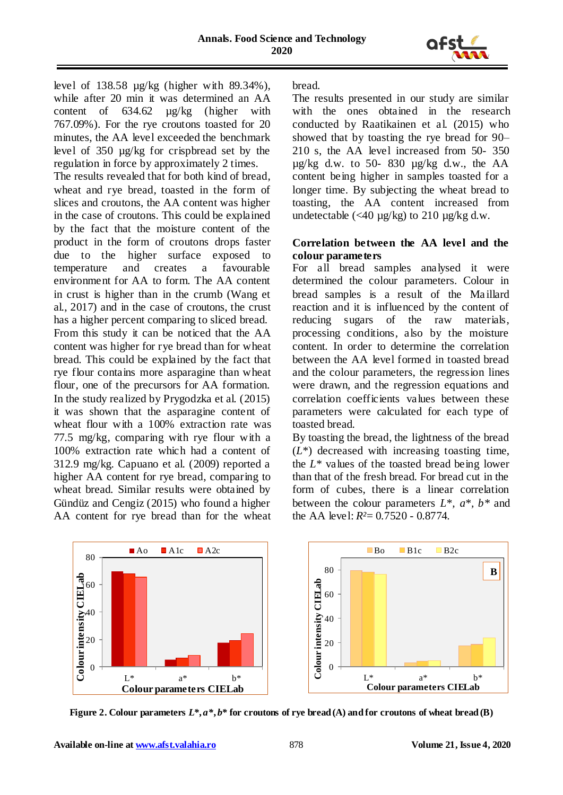

level of 138.58 µg/kg (higher with 89.34%), while after 20 min it was determined an AA content of  $634.62$  ug/kg (higher with 767.09%). For the rye croutons toasted for 20 minutes, the AA level exceeded the benchmark level of 350 µg/kg for crispbread set by the regulation in force by approximately 2 times. The results revealed that for both kind of bread, wheat and rye bread, toasted in the form of slices and croutons, the AA content was higher in the case of croutons. This could be explained by the fact that the moisture content of the product in the form of croutons drops faster due to the higher surface exposed to temperature and creates a favourable environment for AA to form. The AA content in crust is higher than in the crumb (Wang et al., 2017) and in the case of croutons, the crust has a higher percent comparing to sliced bread. From this study it can be noticed that the AA content was higher for rye bread than for wheat bread. This could be explained by the fact that rye flour contains more asparagine than wheat flour, one of the precursors for AA formation. In the study realized by Prygodzka et al. (2015) it was shown that the asparagine content of wheat flour with a 100% extraction rate was 77.5 mg/kg, comparing with rye flour with a 100% extraction rate which had a content of 312.9 mg/kg. Capuano et al. (2009) reported a higher AA content for rye bread, comparing to wheat bread. Similar results were obtained by Gündüz and Cengiz (2015) who found a higher AA content for rye bread than for the wheat bread.

The results presented in our study are similar with the ones obtained in the research conducted by Raatikainen et al. (2015) who showed that by toasting the rye bread for 90– 210 s, the AA level increased from 50- 350  $\mu$ g/kg d.w. to 50-830  $\mu$ g/kg d.w., the AA content being higher in samples toasted for a longer time. By subjecting the wheat bread to toasting, the AA content increased from undetectable  $\left(\frac{40 \text{ µg}}{kg}\right)$  to 210  $\mu$ g/kg d.w.

#### **Correlation between the AA level and the colour parameters**

For all bread samples analysed it were determined the colour parameters. Colour in bread samples is a result of the Ma illard reaction and it is influenced by the content of reducing sugars of the raw materials, processing conditions, also by the moisture content. In order to determine the correlation between the AA level formed in toasted bread and the colour parameters, the regression lines were drawn, and the regression equations and correlation coefficients values between these parameters were calculated for each type of toasted bread.

By toasting the bread, the lightness of the bread (*L\**) decreased with increasing toasting time, the *L\** values of the toasted bread being lower than that of the fresh bread. For bread cut in the form of cubes, there is a linear correlation between the colour parameters *L\*, a\*, b\** and the AA level: *R²*= 0.7520 - 0.8774.



**Figure 2. Colour parameters**  $L^*, a^*, b^*$  **for croutons of rye bread (A) and for croutons of wheat bread (B)**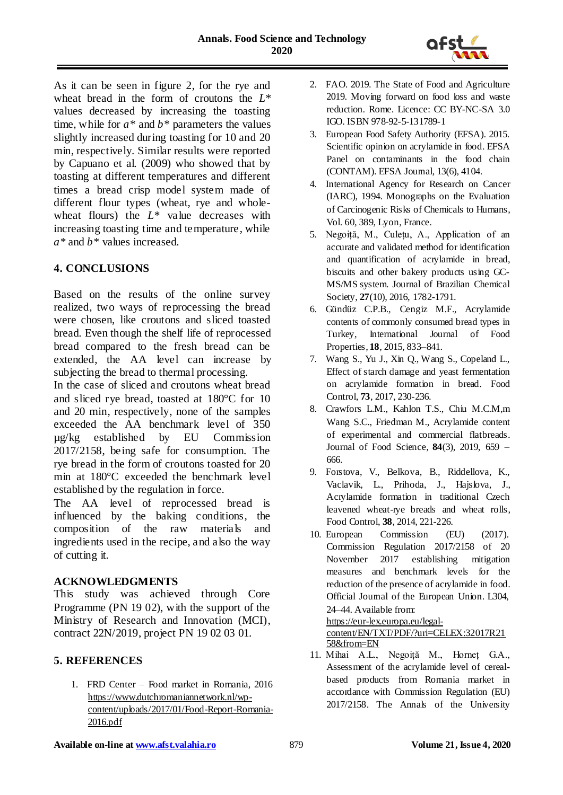

As it can be seen in figure 2, for the rye and wheat bread in the form of croutons the *L\** values decreased by increasing the toasting time, while for *a\** and *b\** parameters the values slightly increased during toasting for 10 and 20 min, respectively. Similar results were reported by Capuano et al. (2009) who showed that by toasting at different temperatures and different times a bread crisp model system made of different flour types (wheat, rye and wholewheat flours) the  $L^*$  value decreases with increasing toasting time and temperature, while *a\** and *b\** values increased.

# **4. CONCLUSIONS**

Based on the results of the online survey realized, two ways of reprocessing the bread were chosen, like croutons and sliced toasted bread. Even though the shelf life of reprocessed bread compared to the fresh bread can be extended, the AA level can increase by subjecting the bread to thermal processing.

In the case of sliced and croutons wheat bread and sliced rye bread, toasted at 180°C for 10 and 20 min, respectively, none of the samples exceeded the AA benchmark level of 350 µg/kg established by EU Commission 2017/2158, being safe for consumption. The rye bread in the form of croutons toasted for 20 min at 180°C exceeded the benchmark level established by the regulation in force.

The AA level of reprocessed bread is influenced by the baking conditions, the composition of the raw materials and ingredients used in the recipe, and also the way of cutting it.

#### **ACKNOWLEDGMENTS**

This study was achieved through Core Programme (PN 19 02), with the support of the Ministry of Research and Innovation (MCI), contract 22N/2019, project PN 19 02 03 01.

#### **5. REFERENCES**

1. FRD Center – Food market in Romania, 2016 [https://www.dutchromaniannetwork.nl/wp](https://www.dutchromaniannetwork.nl/wp-content/uploads/2017/01/Food-Report-Romania-2016.pdf)[content/uploads/2017/01/Food-Report-Romania-](https://www.dutchromaniannetwork.nl/wp-content/uploads/2017/01/Food-Report-Romania-2016.pdf)[2016.pdf](https://www.dutchromaniannetwork.nl/wp-content/uploads/2017/01/Food-Report-Romania-2016.pdf)

- 2. FAO. 2019. The State of Food and Agriculture 2019. Moving forward on food loss and waste reduction. Rome. Licence: CC BY-NC-SA 3.0 IGO. ISBN 978-92-5-131789-1
- 3. European Food Safety Authority (EFSA). 2015. Scientific opinion on acrylamide in food. EFSA Panel on contaminants in the food chain (CONTAM). EFSA Journal, 13(6), 4104.
- 4. International Agency for Research on Cancer (IARC), 1994. Monographs on the Evaluation of Carcinogenic Risks of Chemicals to Humans, Vol. 60, 389, Lyon, France.
- 5. Negoiță, M., Culețu, A., Application of an accurate and validated method for identification and quantification of acrylamide in bread, biscuits and other bakery products using GC-MS/MS system. Journal of Brazilian Chemical Society, **27**(10), 2016, 1782-1791.
- 6. Gündüz C.P.B., Cengiz M.F., Acrylamide contents of commonly consumed bread types in Turkey, International Journal of Food Properties, **18**, 2015, 833–841.
- 7. Wang S., Yu J., Xin Q., Wang S., Copeland L., Effect of starch damage and yeast fermentation on acrylamide formation in bread. Food Control, **73**, 2017, 230-236.
- 8. Crawfors L.M., Kahlon T.S., Chiu M.C.M,m Wang S.C., Friedman M., Acrylamide content of experimental and commercial flatbreads. Journal of Food Science, **84**(3), 2019, 659 – 666.
- 9. Forstova, V., Belkova, B., Riddellova, K., Vaclavik, L., Prihoda, J., Hajslova, J., Acrylamide formation in traditional Czech leavened wheat-rye breads and wheat rolls, Food Control, **38**, 2014, 221-226.
- 10. European Commission (EU) (2017). Commission Regulation 2017/2158 of 20 November 2017 establishing mitigation measures and benchmark levels for the reduction of the presence of acrylamide in food. Official Journal of the European Union. L304, 24–44. Available from:

[https://eur-lex.europa.eu/legal-](https://eur-lex.europa.eu/legal-content/EN/TXT/PDF/?uri=CELEX:32017R2158&from=EN)

[content/EN/TXT/PDF/?uri=CELEX:32017R21](https://eur-lex.europa.eu/legal-content/EN/TXT/PDF/?uri=CELEX:32017R2158&from=EN) [58&from=EN](https://eur-lex.europa.eu/legal-content/EN/TXT/PDF/?uri=CELEX:32017R2158&from=EN)

11. Mihai A.L., Negoiță M., Horneț G.A., Assessment of the acrylamide level of cerealbased products from Romania market in accordance with Commission Regulation (EU) 2017/2158. The Annals of the University